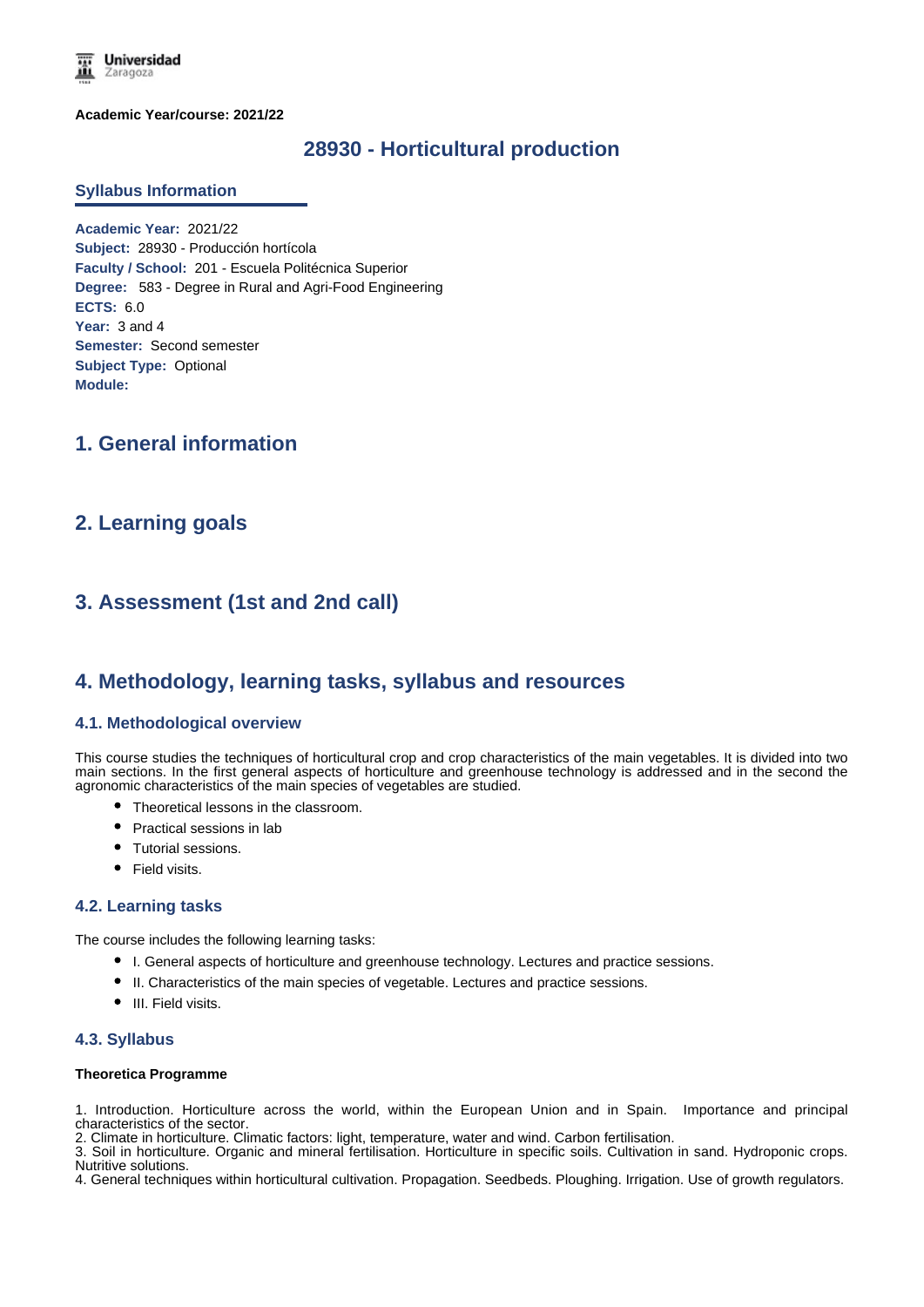**Universidad** Zaragoza

**Academic Year/course: 2021/22**

## **28930 - Horticultural production**

### **Syllabus Information**

**Academic Year:** 2021/22 **Subject:** 28930 - Producción hortícola **Faculty / School:** 201 - Escuela Politécnica Superior **Degree:** 583 - Degree in Rural and Agri-Food Engineering **ECTS:** 6.0 Year: 3 and 4 **Semester:** Second semester **Subject Type:** Optional **Module:**

## **1. General information**

## **2. Learning goals**

# **3. Assessment (1st and 2nd call)**

## **4. Methodology, learning tasks, syllabus and resources**

## **4.1. Methodological overview**

This course studies the techniques of horticultural crop and crop characteristics of the main vegetables. It is divided into two main sections. In the first general aspects of horticulture and greenhouse technology is addressed and in the second the agronomic characteristics of the main species of vegetables are studied.

- Theoretical lessons in the classroom.
- Practical sessions in lab
- Tutorial sessions.
- Field visits.

### **4.2. Learning tasks**

The course includes the following learning tasks:

- I. General aspects of horticulture and greenhouse technology. Lectures and practice sessions.
- II. Characteristics of the main species of vegetable. Lectures and practice sessions.
- III. Field visits.

#### **4.3. Syllabus**

#### **Theoretica Programme**

1. Introduction. Horticulture across the world, within the European Union and in Spain. Importance and principal characteristics of the sector.

2. Climate in horticulture. Climatic factors: light, temperature, water and wind. Carbon fertilisation.

3. Soil in horticulture. Organic and mineral fertilisation. Horticulture in specific soils. Cultivation in sand. Hydroponic crops. Nutritive solutions.

4. General techniques within horticultural cultivation. Propagation. Seedbeds. Ploughing. Irrigation. Use of growth regulators.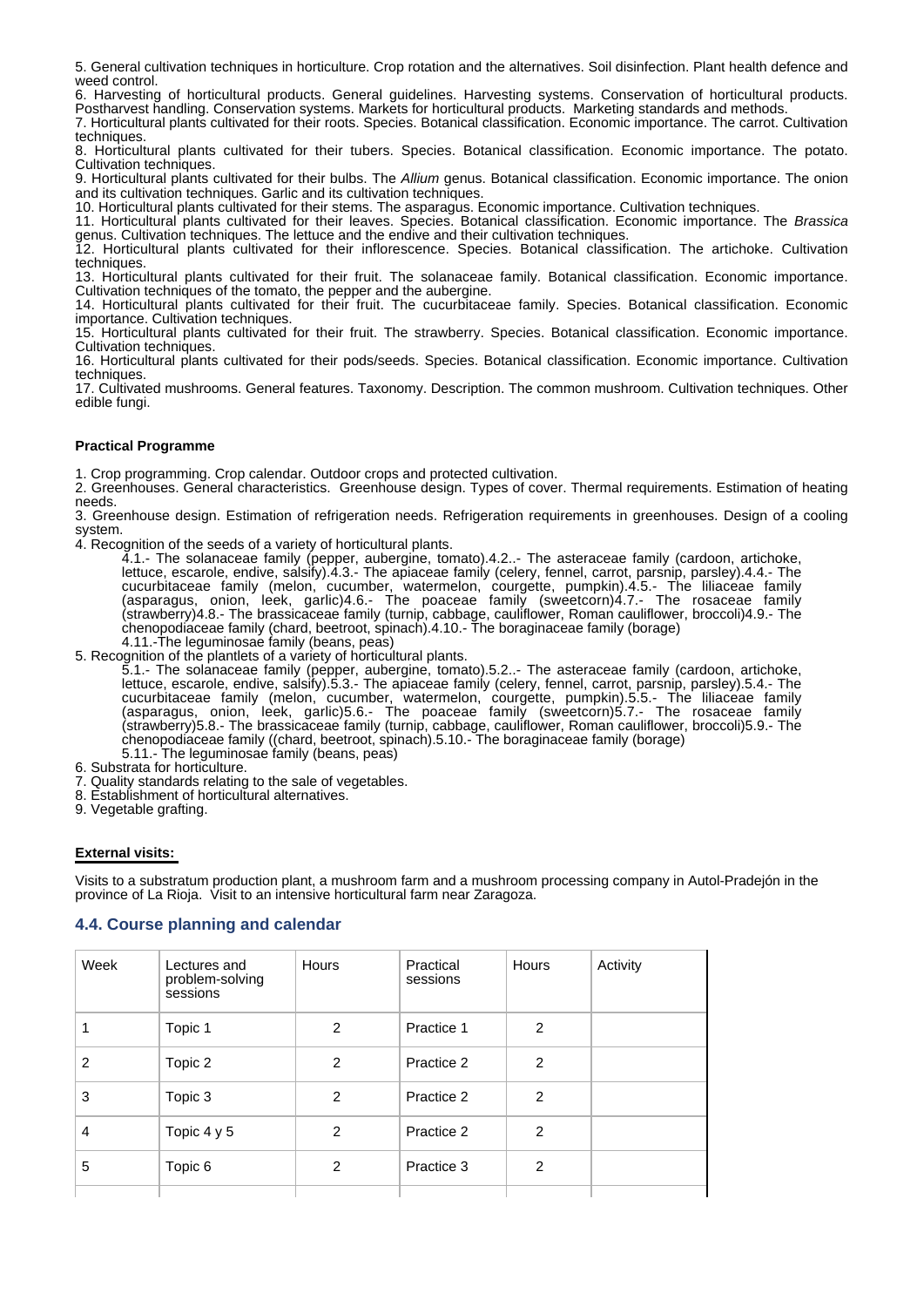5. General cultivation techniques in horticulture. Crop rotation and the alternatives. Soil disinfection. Plant health defence and weed control.

6. Harvesting of horticultural products. General guidelines. Harvesting systems. Conservation of horticultural products. Postharvest handling. Conservation systems. Markets for horticultural products. Marketing standards and methods.

7. Horticultural plants cultivated for their roots. Species. Botanical classification. Economic importance. The carrot. Cultivation techniques

8. Horticultural plants cultivated for their tubers. Species. Botanical classification. Economic importance. The potato. Cultivation techniques.

9. Horticultural plants cultivated for their bulbs. The *Allium* genus. Botanical classification. Economic importance. The onion and its cultivation techniques. Garlic and its cultivation techniques.

10. Horticultural plants cultivated for their stems. The asparagus. Economic importance. Cultivation techniques.

11. Horticultural plants cultivated for their leaves. Species. Botanical classification. Economic importance. The *Brassica* genus. Cultivation techniques. The lettuce and the endive and their cultivation techniques.

12. Horticultural plants cultivated for their inflorescence. Species. Botanical classification. The artichoke. Cultivation techniques.

13. Horticultural plants cultivated for their fruit. The solanaceae family. Botanical classification. Economic importance. Cultivation techniques of the tomato, the pepper and the aubergine.

14. Horticultural plants cultivated for their fruit. The cucurbitaceae family. Species. Botanical classification. Economic importance. Cultivation techniques.

15. Horticultural plants cultivated for their fruit. The strawberry. Species. Botanical classification. Economic importance. Cultivation techniques.

16. Horticultural plants cultivated for their pods/seeds. Species. Botanical classification. Economic importance. Cultivation techniques.

17. Cultivated mushrooms. General features. Taxonomy. Description. The common mushroom. Cultivation techniques. Other edible fungi.

## **Practical Programme**

1. Crop programming. Crop calendar. Outdoor crops and protected cultivation.

2. Greenhouses. General characteristics. Greenhouse design. Types of cover. Thermal requirements. Estimation of heating needs.

3. Greenhouse design. Estimation of refrigeration needs. Refrigeration requirements in greenhouses. Design of a cooling system.

4. Recognition of the seeds of a variety of horticultural plants.

4.1.- The solanaceae family (pepper, aubergine, tomato).4.2..- The asteraceae family (cardoon, artichoke, lettuce, escarole, endive, salsify).4.3.- The apiaceae family (celery, fennel, carrot, parsnip, parsley).4.4.- The cucurbitaceae family (melon, cucumber, watermelon, courgette, pumpkin).4.5.- The liliaceae family (asparagus, onion, leek, garlic)4.6.- The poaceae family (sweetcorn)4.7.- The rosaceae family (strawberry)4.8.- The brassicaceae family (turnip, cabbage, cauliflower, Roman cauliflower, broccoli)4.9.- The chenopodiaceae family (chard, beetroot, spinach).4.10.- The boraginaceae family (borage) 4.11.-The leguminosae family (beans, peas)

5. Recognition of the plantlets of a variety of horticultural plants.

5.1.- The solanaceae family (pepper, aubergine, tomato).5.2..- The asteraceae family (cardoon, artichoke, lettuce, escarole, endive, salsify).5.3.- The apiaceae family (celery, fennel, carrot, parsnip, parsley).5.4.- The cucurbitaceae family (melon, cucumber, watermelon, courgette, pumpkin).5.5.- The liliaceae family (asparagus, onion, leek, garlic)5.6.- The poaceae family (sweetcorn)5.7.- The rosaceae family (strawberry)5.8.- The brassicaceae family (turnip, cabbage, cauliflower, Roman cauliflower, broccoli)5.9.- The chenopodiaceae family ((chard, beetroot, spinach).5.10.- The boraginaceae family (borage) 5.11.- The leguminosae family (beans, peas)

6. Substrata for horticulture.

- 7. Quality standards relating to the sale of vegetables.
- 8. Establishment of horticultural alternatives.
- 9. Vegetable grafting.

#### **External visits:**

Visits to a substratum production plant, a mushroom farm and a mushroom processing company in Autol-Pradejón in the province of La Rioja. Visit to an intensive horticultural farm near Zaragoza.

## **4.4. Course planning and calendar**

| Week | Lectures and<br>problem-solving<br>sessions | <b>Hours</b>  | Practical<br>sessions | Hours         | Activity |
|------|---------------------------------------------|---------------|-----------------------|---------------|----------|
| 1    | Topic 1                                     | $\mathcal{P}$ | Practice 1            | $\mathcal{P}$ |          |
| 2    | Topic 2                                     | $\mathcal{P}$ | Practice 2            | $\mathcal{P}$ |          |
| 3    | Topic 3                                     | 2             | Practice 2            | $\mathcal{P}$ |          |
| 4    | Topic 4 y 5                                 | $\mathcal{P}$ | Practice 2            | 2             |          |
| 5    | Topic 6                                     | 2             | Practice 3            | 2             |          |
|      |                                             |               |                       |               |          |